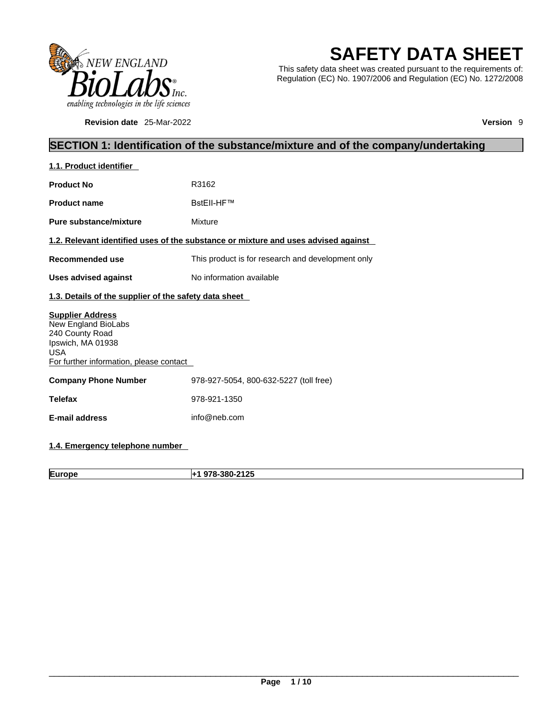

**Revision date** 25-Mar-2022 **Version** 9

# **SAFETY DATA SHEET**

This safety data sheet was created pursuant to the requirements of: Regulation (EC) No. 1907/2006 and Regulation (EC) No. 1272/2008

# **SECTION 1: Identification of the substance/mixture and of the company/undertaking**

| 1.1. Product identifier                                                                                                                         |                                                                                    |
|-------------------------------------------------------------------------------------------------------------------------------------------------|------------------------------------------------------------------------------------|
| <b>Product No</b>                                                                                                                               | R3162                                                                              |
| <b>Product name</b>                                                                                                                             | BstEll-HF™                                                                         |
| Pure substance/mixture                                                                                                                          | Mixture                                                                            |
|                                                                                                                                                 | 1.2. Relevant identified uses of the substance or mixture and uses advised against |
| Recommended use                                                                                                                                 | This product is for research and development only                                  |
| <b>Uses advised against</b>                                                                                                                     | No information available                                                           |
| 1.3. Details of the supplier of the safety data sheet                                                                                           |                                                                                    |
| <b>Supplier Address</b><br>New England BioLabs<br>240 County Road<br>Ipswich, MA 01938<br><b>USA</b><br>For further information, please contact |                                                                                    |
| <b>Company Phone Number</b>                                                                                                                     | 978-927-5054, 800-632-5227 (toll free)                                             |
| <b>Telefax</b>                                                                                                                                  | 978-921-1350                                                                       |
| <b>E-mail address</b>                                                                                                                           | info@neb.com                                                                       |
|                                                                                                                                                 |                                                                                    |

## **1.4. Emergency telephone number**

**Europe +1 978-380-2125**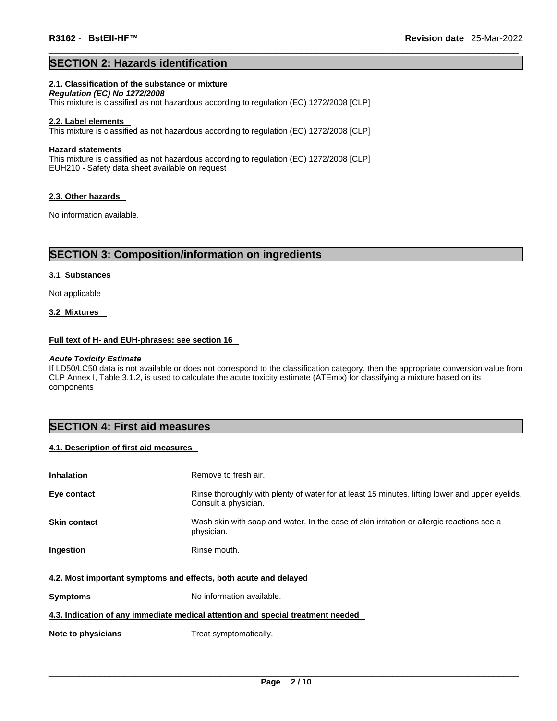### **SECTION 2: Hazards identification**

### **2.1. Classification of the substance or mixture**

*Regulation (EC) No 1272/2008*  This mixture is classified as not hazardous according to regulation (EC) 1272/2008 [CLP]

#### **2.2. Label elements**

This mixture is classified as not hazardous according to regulation (EC) 1272/2008 [CLP]

#### **Hazard statements**

This mixture is classified as not hazardous according to regulation (EC) 1272/2008 [CLP] EUH210 - Safety data sheet available on request

#### **2.3. Other hazards**

No information available.

### **SECTION 3: Composition/information on ingredients**

#### **3.1 Substances**

Not applicable

### **3.2 Mixtures**

#### **Full text of H- and EUH-phrases: see section 16**

#### *Acute Toxicity Estimate*

If LD50/LC50 data is not available or does not correspond to the classification category, then the appropriate conversion value from CLP Annex I, Table 3.1.2, is used to calculate the acute toxicity estimate (ATEmix) for classifying a mixture based on its components

### **SECTION 4: First aid measures**

### **4.1. Description of first aid measures**

| <b>Inhalation</b>                                                               | Remove to fresh air.                                                                                                    |  |  |
|---------------------------------------------------------------------------------|-------------------------------------------------------------------------------------------------------------------------|--|--|
| Eye contact                                                                     | Rinse thoroughly with plenty of water for at least 15 minutes, lifting lower and upper eyelids.<br>Consult a physician. |  |  |
| <b>Skin contact</b>                                                             | Wash skin with soap and water. In the case of skin irritation or allergic reactions see a<br>physician.                 |  |  |
| Ingestion                                                                       | Rinse mouth.                                                                                                            |  |  |
| 4.2. Most important symptoms and effects, both acute and delayed                |                                                                                                                         |  |  |
| <b>Symptoms</b>                                                                 | No information available.                                                                                               |  |  |
| 4.3. Indication of any immediate medical attention and special treatment needed |                                                                                                                         |  |  |
| Note to physicians                                                              | Treat symptomatically.                                                                                                  |  |  |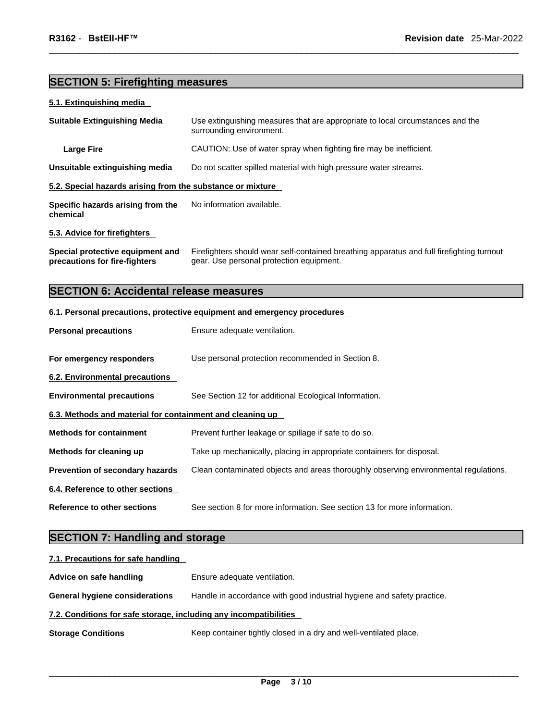# **SECTION 5: Firefighting measures**

### **5.1. Extinguishing media**

| <b>Suitable Extinguishing Media</b>                        | Use extinguishing measures that are appropriate to local circumstances and the<br>surrounding environment. |  |
|------------------------------------------------------------|------------------------------------------------------------------------------------------------------------|--|
| Large Fire                                                 | CAUTION: Use of water spray when fighting fire may be inefficient.                                         |  |
| Unsuitable extinguishing media                             | Do not scatter spilled material with high pressure water streams.                                          |  |
| 5.2. Special hazards arising from the substance or mixture |                                                                                                            |  |
| Specific hazards arising from the<br>chemical              | No information available.                                                                                  |  |
| 5.3. Advice for firefighters                               |                                                                                                            |  |

**Special protective equipment and precautions for fire-fighters** Firefighters should wear self-contained breathing apparatus and full firefighting turnout gear. Use personal protection equipment.

# **SECTION 6: Accidental release measures**

### **6.1. Personal precautions, protective equipment and emergency procedures**

| <b>Personal precautions</b>                               | Ensure adequate ventilation.                                                         |
|-----------------------------------------------------------|--------------------------------------------------------------------------------------|
| For emergency responders                                  | Use personal protection recommended in Section 8.                                    |
| 6.2. Environmental precautions                            |                                                                                      |
| <b>Environmental precautions</b>                          | See Section 12 for additional Ecological Information.                                |
| 6.3. Methods and material for containment and cleaning up |                                                                                      |
| <b>Methods for containment</b>                            | Prevent further leakage or spillage if safe to do so.                                |
| Methods for cleaning up                                   | Take up mechanically, placing in appropriate containers for disposal.                |
| Prevention of secondary hazards                           | Clean contaminated objects and areas thoroughly observing environmental regulations. |
| 6.4. Reference to other sections                          |                                                                                      |
| Reference to other sections                               | See section 8 for more information. See section 13 for more information.             |

# **SECTION 7: Handling and storage**

| 7.1. Precautions for safe handling                                |                                                                        |  |
|-------------------------------------------------------------------|------------------------------------------------------------------------|--|
| Advice on safe handling                                           | Ensure adequate ventilation.                                           |  |
| <b>General hygiene considerations</b>                             | Handle in accordance with good industrial hygiene and safety practice. |  |
| 7.2. Conditions for safe storage, including any incompatibilities |                                                                        |  |
| <b>Storage Conditions</b>                                         | Keep container tightly closed in a dry and well-ventilated place.      |  |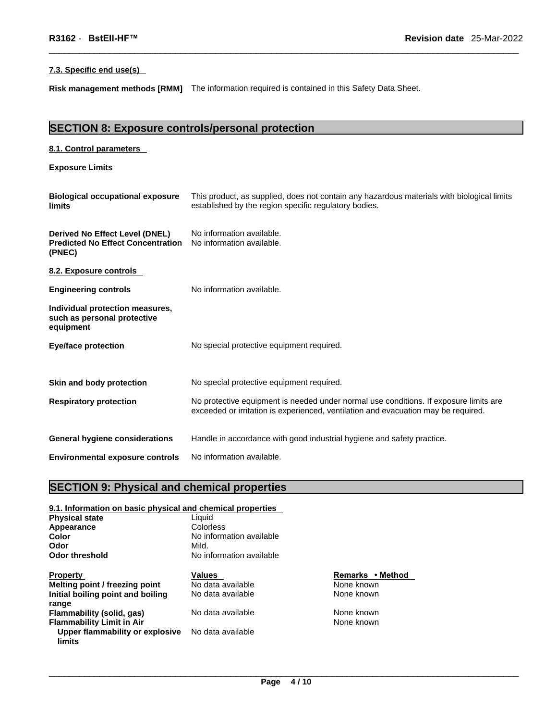### **7.3. Specific end use(s)**

**Risk management methods [RMM]** The information required is contained in this Safety Data Sheet.

# **SECTION 8: Exposure controls/personal protection**

| 8.1. Control parameters                                                              |                                                                                                                                                                             |
|--------------------------------------------------------------------------------------|-----------------------------------------------------------------------------------------------------------------------------------------------------------------------------|
| <b>Exposure Limits</b>                                                               |                                                                                                                                                                             |
| <b>Biological occupational exposure</b><br>limits                                    | This product, as supplied, does not contain any hazardous materials with biological limits<br>established by the region specific regulatory bodies.                         |
| Derived No Effect Level (DNEL)<br><b>Predicted No Effect Concentration</b><br>(PNEC) | No information available.<br>No information available.                                                                                                                      |
| 8.2. Exposure controls                                                               |                                                                                                                                                                             |
| <b>Engineering controls</b>                                                          | No information available.                                                                                                                                                   |
| Individual protection measures,<br>such as personal protective<br>equipment          |                                                                                                                                                                             |
| <b>Eye/face protection</b>                                                           | No special protective equipment required.                                                                                                                                   |
| Skin and body protection                                                             | No special protective equipment required.                                                                                                                                   |
| <b>Respiratory protection</b>                                                        | No protective equipment is needed under normal use conditions. If exposure limits are<br>exceeded or irritation is experienced, ventilation and evacuation may be required. |
| <b>General hygiene considerations</b>                                                | Handle in accordance with good industrial hygiene and safety practice.                                                                                                      |
| <b>Environmental exposure controls</b>                                               | No information available.                                                                                                                                                   |

# **SECTION 9: Physical and chemical properties**

| 9.1. Information on basic physical and chemical properties |                          |         |
|------------------------------------------------------------|--------------------------|---------|
| <b>Physical state</b>                                      | Liauid                   |         |
| Appearance                                                 | Colorless                |         |
| Color                                                      | No information available |         |
| Odor                                                       | Mild.                    |         |
| <b>Odor threshold</b>                                      | No information available |         |
| <b>Property</b>                                            | <b>Values</b>            | Remark  |
| Melting point / freezing point                             | No data available        | None kr |
| Initial boiling point and boiling                          | No data available        | None kr |
| range                                                      |                          |         |
| Flammability (solid, gas)                                  | No data available        | None kr |
| <b>Flammability Limit in Air</b>                           |                          | None kr |
| Upper flammability or explosive<br>limits                  | No data available        |         |

**Remarks • Method None known** None known

**None known None known**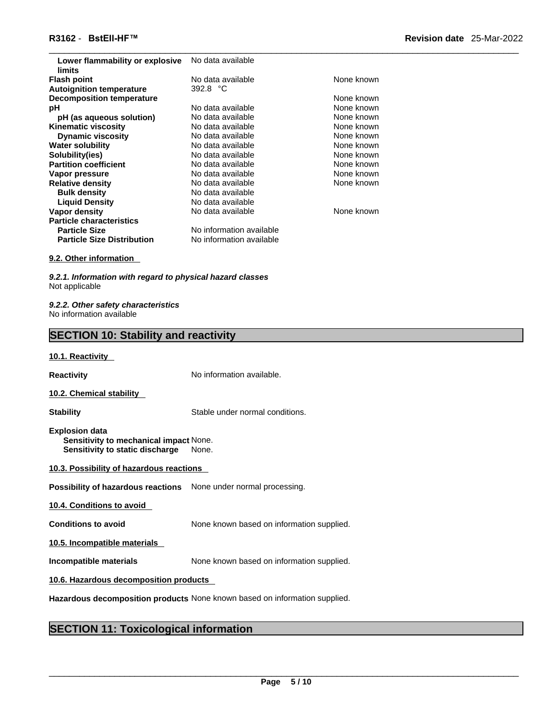| Lower flammability or explosive<br>limits | No data available        |            |
|-------------------------------------------|--------------------------|------------|
| <b>Flash point</b>                        | No data available        | None known |
| <b>Autoignition temperature</b>           | 392.8 °C                 |            |
| <b>Decomposition temperature</b>          |                          | None known |
| рH                                        | No data available        | None known |
| pH (as aqueous solution)                  | No data available        | None known |
| <b>Kinematic viscosity</b>                | No data available        | None known |
| <b>Dynamic viscosity</b>                  | No data available        | None known |
| <b>Water solubility</b>                   | No data available        | None known |
| Solubility(ies)                           | No data available        | None known |
| <b>Partition coefficient</b>              | No data available        | None known |
| Vapor pressure                            | No data available        | None known |
| <b>Relative density</b>                   | No data available        | None known |
| <b>Bulk density</b>                       | No data available        |            |
| <b>Liquid Density</b>                     | No data available        |            |
| Vapor density                             | No data available        | None known |
| <b>Particle characteristics</b>           |                          |            |
| <b>Particle Size</b>                      | No information available |            |
| <b>Particle Size Distribution</b>         | No information available |            |

### **9.2. Other information**

*9.2.1. Information with regard to physical hazard classes* Not applicable

*9.2.2. Other safety characteristics* No information available

## **SECTION 10: Stability and reactivity**

#### **10.1. Reactivity**

**Reactivity No information available.** 

**10.2. Chemical stability** 

**Stability** Stable under normal conditions.

**Explosion data Sensitivity to mechanical impact** None. **Sensitivity to static discharge** None.

| 10.3. Possibility of hazardous reactions |
|------------------------------------------|
|------------------------------------------|

**Possibility of hazardous reactions** None under normal processing.

**10.4. Conditions to avoid** 

**Conditions to avoid** None known based on information supplied.

**10.5. Incompatible materials**

**Incompatible materials** None known based on information supplied.

**10.6. Hazardous decomposition products** 

**Hazardous decomposition products** None known based on information supplied.

### **SECTION 11: Toxicological information**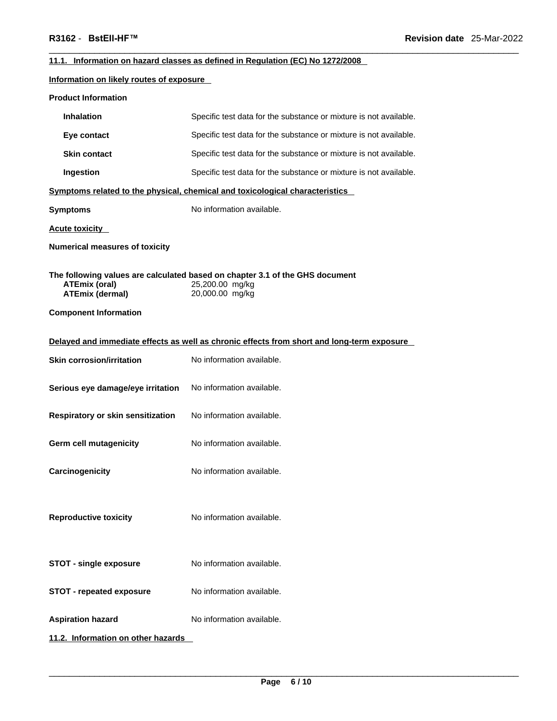### **11.1. Information on hazard classes as defined in Regulation (EC) No 1272/2008**

### **Information on likely routes of exposure**

| <b>Product Information</b>                                                     |                                                                                                                    |
|--------------------------------------------------------------------------------|--------------------------------------------------------------------------------------------------------------------|
| <b>Inhalation</b>                                                              | Specific test data for the substance or mixture is not available.                                                  |
| Eye contact                                                                    | Specific test data for the substance or mixture is not available.                                                  |
| <b>Skin contact</b>                                                            | Specific test data for the substance or mixture is not available.                                                  |
| Ingestion                                                                      | Specific test data for the substance or mixture is not available.                                                  |
|                                                                                | Symptoms related to the physical, chemical and toxicological characteristics                                       |
| <b>Symptoms</b>                                                                | No information available.                                                                                          |
| <b>Acute toxicity</b>                                                          |                                                                                                                    |
| <b>Numerical measures of toxicity</b>                                          |                                                                                                                    |
| <b>ATEmix (oral)</b><br><b>ATEmix (dermal)</b><br><b>Component Information</b> | The following values are calculated based on chapter 3.1 of the GHS document<br>25,200.00 mg/kg<br>20,000.00 mg/kg |
|                                                                                | Delayed and immediate effects as well as chronic effects from short and long-term exposure                         |
| <b>Skin corrosion/irritation</b>                                               | No information available.                                                                                          |
| Serious eye damage/eye irritation                                              | No information available.                                                                                          |
| Respiratory or skin sensitization                                              | No information available.                                                                                          |
| Germ cell mutagenicity                                                         | No information available.                                                                                          |
| Carcinogenicity                                                                | No information available.                                                                                          |
| <b>Reproductive toxicity</b>                                                   | No information available.                                                                                          |
| <b>STOT - single exposure</b>                                                  | No information available.                                                                                          |
| <b>STOT - repeated exposure</b>                                                | No information available.                                                                                          |
| <b>Aspiration hazard</b>                                                       | No information available.                                                                                          |
| 11.2. Information on other hazards                                             |                                                                                                                    |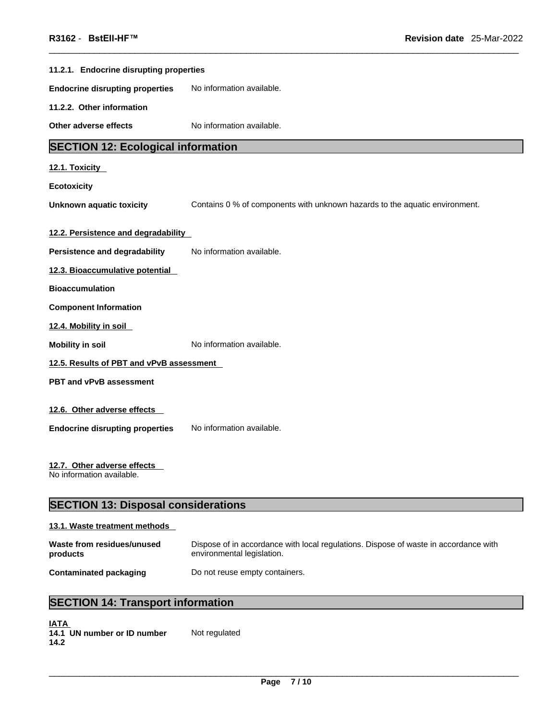| 11.2.1. Endocrine disrupting properties                  |                                                                             |  |
|----------------------------------------------------------|-----------------------------------------------------------------------------|--|
| <b>Endocrine disrupting properties</b>                   | No information available.                                                   |  |
| 11.2.2. Other information                                |                                                                             |  |
| Other adverse effects                                    | No information available.                                                   |  |
| <b>SECTION 12: Ecological information</b>                |                                                                             |  |
| 12.1. Toxicity                                           |                                                                             |  |
| <b>Ecotoxicity</b>                                       |                                                                             |  |
| <b>Unknown aquatic toxicity</b>                          | Contains 0 % of components with unknown hazards to the aquatic environment. |  |
| 12.2. Persistence and degradability                      |                                                                             |  |
|                                                          | No information available.                                                   |  |
| <b>Persistence and degradability</b>                     |                                                                             |  |
| 12.3. Bioaccumulative potential                          |                                                                             |  |
| <b>Bioaccumulation</b>                                   |                                                                             |  |
| <b>Component Information</b>                             |                                                                             |  |
| 12.4. Mobility in soil                                   |                                                                             |  |
| <b>Mobility in soil</b>                                  | No information available.                                                   |  |
| 12.5. Results of PBT and vPvB assessment                 |                                                                             |  |
| PBT and vPvB assessment                                  |                                                                             |  |
| 12.6. Other adverse effects                              |                                                                             |  |
|                                                          |                                                                             |  |
| <b>Endocrine disrupting properties</b>                   | No information available.                                                   |  |
| 12.7. Other adverse effects<br>No information available. |                                                                             |  |

# **SECTION 13: Disposal considerations**

### **13.1. Waste treatment methods**

| Waste from residues/unused | Dispose of in accordance with local regulations. Dispose of waste in accordance with |
|----------------------------|--------------------------------------------------------------------------------------|
| products                   | environmental legislation.                                                           |
| Contaminated packaging     | Do not reuse empty containers.                                                       |

# **SECTION 14: Transport information**

| <b>IATA</b> |                             |               |
|-------------|-----------------------------|---------------|
|             | 14.1 UN number or ID number | Not regulated |
| 14.2        |                             |               |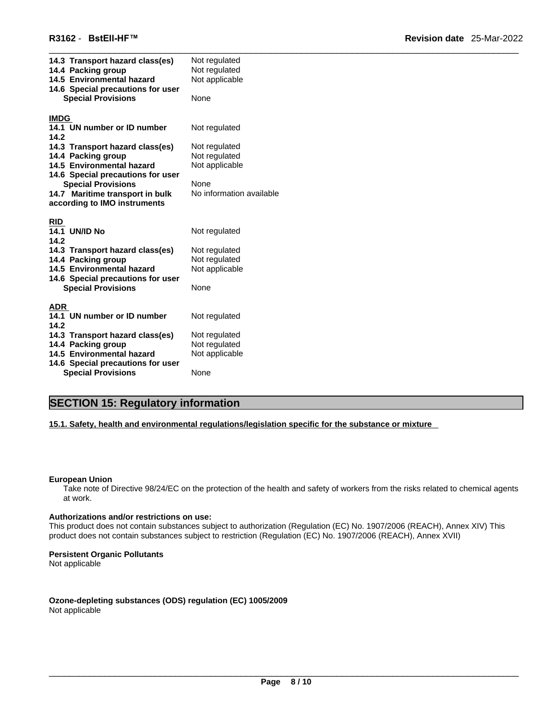| 14.3 Transport hazard class(es)                       | Not regulated                  |
|-------------------------------------------------------|--------------------------------|
| 14.4 Packing group                                    | Not regulated                  |
| 14.5 Environmental hazard                             | Not applicable                 |
| 14.6 Special precautions for user                     |                                |
| <b>Special Provisions</b>                             | None                           |
| <b>IMDG</b>                                           |                                |
| 14.1 UN number or ID number                           | Not regulated                  |
| 14.2                                                  |                                |
| 14.3 Transport hazard class(es)                       | Not regulated                  |
| 14.4 Packing group                                    | Not regulated                  |
| 14.5 Environmental hazard                             | Not applicable                 |
| 14.6 Special precautions for user                     |                                |
| <b>Special Provisions</b>                             | None                           |
| 14.7 Maritime transport in bulk                       | No information available       |
| according to IMO instruments                          |                                |
|                                                       |                                |
| <b>RID</b>                                            |                                |
| <b>14.1 UN/ID No</b>                                  | Not regulated                  |
| 14.2                                                  |                                |
| 14.3 Transport hazard class(es)                       | Not regulated                  |
| 14.4 Packing group                                    | Not regulated                  |
| 14.5 Environmental hazard                             | Not applicable                 |
| 14.6 Special precautions for user                     |                                |
| <b>Special Provisions</b>                             | None                           |
|                                                       |                                |
| ADR                                                   |                                |
| 14.1 UN number or ID number                           | Not regulated                  |
| 14.2                                                  |                                |
| 14.3 Transport hazard class(es)<br>14.4 Packing group | Not regulated<br>Not regulated |
| 14.5 Environmental hazard                             | Not applicable                 |
| 14.6 Special precautions for user                     |                                |
| <b>Special Provisions</b>                             | None                           |
|                                                       |                                |

# **SECTION 15: Regulatory information**

**15.1. Safety, health and environmental regulations/legislation specific for the substance or mixture**

#### **European Union**

Take note of Directive 98/24/EC on the protection of the health and safety of workers from the risks related to chemical agents at work.

### **Authorizations and/or restrictions on use:**

This product does not contain substances subject to authorization (Regulation (EC) No. 1907/2006 (REACH), Annex XIV) This product does not contain substances subject to restriction (Regulation (EC) No. 1907/2006 (REACH), Annex XVII)

### **Persistent Organic Pollutants**

Not applicable

**Ozone-depleting substances (ODS) regulation (EC) 1005/2009** Not applicable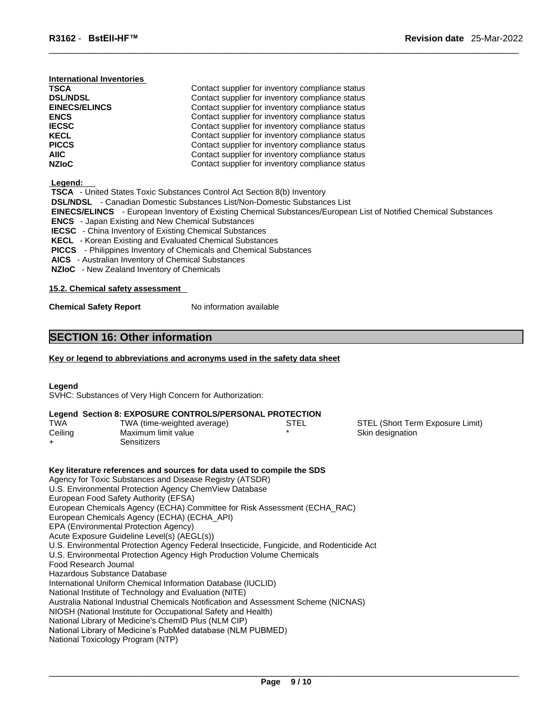| International Inventories |                                                  |
|---------------------------|--------------------------------------------------|
| <b>TSCA</b>               | Contact supplier for inventory compliance status |
| <b>DSL/NDSL</b>           | Contact supplier for inventory compliance status |
| <b>EINECS/ELINCS</b>      | Contact supplier for inventory compliance status |
| <b>ENCS</b>               | Contact supplier for inventory compliance status |
| <b>IECSC</b>              | Contact supplier for inventory compliance status |
| <b>KECL</b>               | Contact supplier for inventory compliance status |
| <b>PICCS</b>              | Contact supplier for inventory compliance status |
| AIIC                      | Contact supplier for inventory compliance status |
| <b>NZIoC</b>              | Contact supplier for inventory compliance status |

 **Legend:** 

| -------                                                                                                                 |
|-------------------------------------------------------------------------------------------------------------------------|
| <b>TSCA</b> - United States Toxic Substances Control Act Section 8(b) Inventory                                         |
| <b>DSL/NDSL</b> - Canadian Domestic Substances List/Non-Domestic Substances List                                        |
| <b>EINECS/ELINCS</b> - European Inventory of Existing Chemical Substances/European List of Notified Chemical Substances |
| <b>ENCS</b> - Japan Existing and New Chemical Substances                                                                |
| <b>IECSC</b> - China Inventory of Existing Chemical Substances                                                          |
| <b>KECL</b> - Korean Existing and Evaluated Chemical Substances                                                         |
| <b>PICCS</b> - Philippines Inventory of Chemicals and Chemical Substances                                               |
| <b>AICS</b> - Australian Inventory of Chemical Substances                                                               |

 **NZIoC** - New Zealand Inventory of Chemicals

### **15.2. Chemical safety assessment**

**Chemical Safety Report** No information available

### **SECTION 16: Other information**

### **Key or legend to abbreviations and acronyms used in the safety data sheet**

### **Legend**

SVHC: Substances of Very High Concern for Authorization:

### **Legend Section 8: EXPOSURE CONTROLS/PERSONAL PROTECTION**

| <b>TWA</b> | TWA (time-weighted average) | STEL | STEL (Short Term Exposure Limit) |
|------------|-----------------------------|------|----------------------------------|
| Ceiling    | Maximum limit value         |      | Skin designation                 |
|            | Sensitizers                 |      |                                  |

**Key literature references and sources for data used to compile the SDS** Agency for Toxic Substances and Disease Registry (ATSDR) U.S. Environmental Protection Agency ChemView Database European Food Safety Authority (EFSA) European Chemicals Agency (ECHA) Committee for Risk Assessment (ECHA\_RAC) European Chemicals Agency (ECHA) (ECHA\_API) EPA (Environmental Protection Agency) Acute Exposure Guideline Level(s) (AEGL(s)) U.S. Environmental Protection Agency Federal Insecticide, Fungicide, and Rodenticide Act U.S. Environmental Protection Agency High Production Volume Chemicals Food Research Journal Hazardous Substance Database International Uniform Chemical Information Database (IUCLID) National Institute of Technology and Evaluation (NITE) Australia National Industrial Chemicals Notification and Assessment Scheme (NICNAS) NIOSH (National Institute for Occupational Safety and Health) National Library of Medicine's ChemID Plus (NLM CIP) National Library of Medicine's PubMed database (NLM PUBMED) National Toxicology Program (NTP)